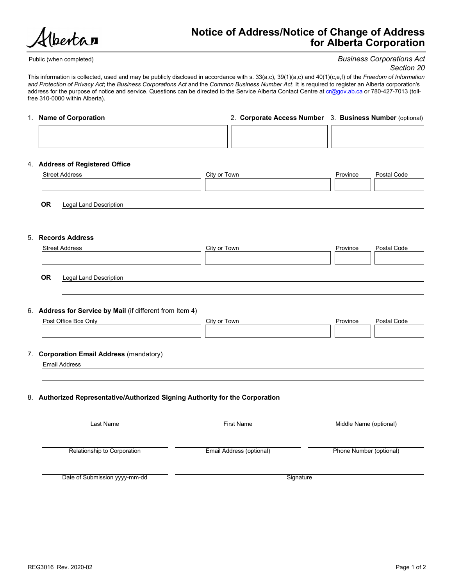bertar

# Notice of Address/Notice of Change of Address for Alberta Corporation

Public (when completed)

### Business Corporations Act Section 20

This information is collected, used and may be publicly disclosed in accordance with s. 33(a,c), 39(1)(a,c) and 40(1)(c,e,f) of the Freedom of Information and Protection of Privacy Act; the Business Corporations Act and the Common Business Number Act. It is required to register an Alberta corporation's address for the purpose of notice and service. Questions can be directed to the Service Alberta Contact Centre at cr@gov.ab.ca or 780-427-7013 (tollfree 310-0000 within Alberta).

### 1. Name of Corporation 2. Corporate Access Number 3. Business Number (optional)

### 4. Address of Registered Office

| $\tau$ . Additoo of negioletta Uffice                                                      |                          |                         |             |
|--------------------------------------------------------------------------------------------|--------------------------|-------------------------|-------------|
| <b>Street Address</b>                                                                      | City or Town             | Province                | Postal Code |
| OR<br>Legal Land Description                                                               |                          |                         |             |
|                                                                                            |                          |                         |             |
| 5. Records Address                                                                         |                          |                         |             |
| <b>Street Address</b>                                                                      | City or Town             | Province                | Postal Code |
|                                                                                            |                          |                         |             |
| OR<br><b>Legal Land Description</b>                                                        |                          |                         |             |
|                                                                                            |                          |                         |             |
| 6. Address for Service by Mail (if different from Item 4)                                  |                          |                         |             |
| Post Office Box Only                                                                       | City or Town             | Province                | Postal Code |
|                                                                                            |                          |                         |             |
|                                                                                            |                          |                         |             |
|                                                                                            |                          |                         |             |
| 7. Corporation Email Address (mandatory)<br><b>Email Address</b>                           |                          |                         |             |
|                                                                                            |                          |                         |             |
| 8. Authorized Representative/Authorized Signing Authority for the Corporation<br>Last Name | <b>First Name</b>        | Middle Name (optional)  |             |
| Relationship to Corporation                                                                | Email Address (optional) | Phone Number (optional) |             |
|                                                                                            |                          |                         |             |
| Date of Submission yyyy-mm-dd                                                              | Signature                |                         |             |
|                                                                                            |                          |                         |             |
|                                                                                            |                          |                         |             |
|                                                                                            |                          |                         |             |
|                                                                                            |                          |                         |             |
|                                                                                            |                          |                         |             |
| REG3016 Rev. 2020-02                                                                       |                          |                         | Page 1 of 2 |